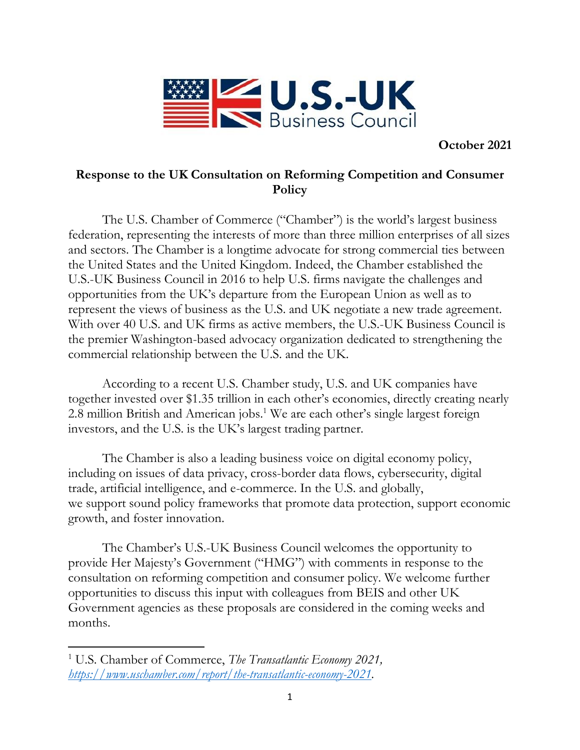

**October 2021**

# **Response to the UK Consultation on Reforming Competition and Consumer Policy**

The U.S. Chamber of Commerce ("Chamber") is the world's largest business federation, representing the interests of more than three million enterprises of all sizes and sectors. The Chamber is a longtime advocate for strong commercial ties between the United States and the United Kingdom. Indeed, the Chamber established the U.S.-UK Business Council in 2016 to help U.S. firms navigate the challenges and opportunities from the UK's departure from the European Union as well as to represent the views of business as the U.S. and UK negotiate a new trade agreement. With over 40 U.S. and UK firms as active members, the U.S.-UK Business Council is the premier Washington-based advocacy organization dedicated to strengthening the commercial relationship between the U.S. and the UK.

According to a recent U.S. Chamber study, U.S. and UK companies have together invested over \$1.35 trillion in each other's economies, directly creating nearly 2.8 million British and American jobs.<sup>1</sup> We are each other's single largest foreign investors, and the U.S. is the UK's largest trading partner.

The Chamber is also a leading business voice on digital economy policy, including on issues of data privacy, cross-border data flows, cybersecurity, digital trade, artificial intelligence, and e-commerce. In the U.S. and globally, we support sound policy frameworks that promote data protection, support economic growth, and foster innovation.

The Chamber's U.S.-UK Business Council welcomes the opportunity to provide Her Majesty's Government ("HMG") with comments in response to the consultation on reforming competition and consumer policy. We welcome further opportunities to discuss this input with colleagues from BEIS and other UK Government agencies as these proposals are considered in the coming weeks and months.

<sup>1</sup> U.S. Chamber of Commerce, *The Transatlantic Economy 2021, [https://www.uschamber.com/report/the-transatlantic-economy-2021.](https://www.uschamber.com/report/the-transatlantic-economy-2021)*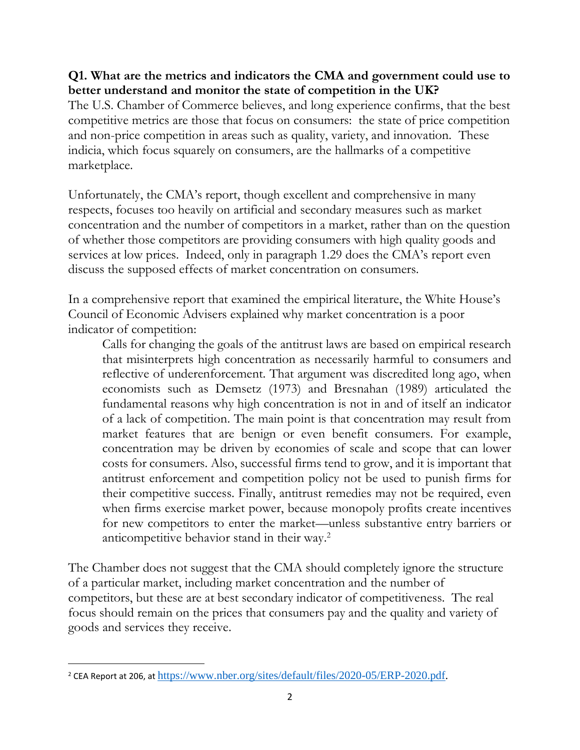#### **Q1. What are the metrics and indicators the CMA and government could use to better understand and monitor the state of competition in the UK?**

The U.S. Chamber of Commerce believes, and long experience confirms, that the best competitive metrics are those that focus on consumers: the state of price competition and non-price competition in areas such as quality, variety, and innovation. These indicia, which focus squarely on consumers, are the hallmarks of a competitive marketplace.

Unfortunately, the CMA's report, though excellent and comprehensive in many respects, focuses too heavily on artificial and secondary measures such as market concentration and the number of competitors in a market, rather than on the question of whether those competitors are providing consumers with high quality goods and services at low prices. Indeed, only in paragraph 1.29 does the CMA's report even discuss the supposed effects of market concentration on consumers.

In a comprehensive report that examined the empirical literature, the White House's Council of Economic Advisers explained why market concentration is a poor indicator of competition:

Calls for changing the goals of the antitrust laws are based on empirical research that misinterprets high concentration as necessarily harmful to consumers and reflective of underenforcement. That argument was discredited long ago, when economists such as Demsetz (1973) and Bresnahan (1989) articulated the fundamental reasons why high concentration is not in and of itself an indicator of a lack of competition. The main point is that concentration may result from market features that are benign or even benefit consumers. For example, concentration may be driven by economies of scale and scope that can lower costs for consumers. Also, successful firms tend to grow, and it is important that antitrust enforcement and competition policy not be used to punish firms for their competitive success. Finally, antitrust remedies may not be required, even when firms exercise market power, because monopoly profits create incentives for new competitors to enter the market—unless substantive entry barriers or anticompetitive behavior stand in their way. 2

The Chamber does not suggest that the CMA should completely ignore the structure of a particular market, including market concentration and the number of competitors, but these are at best secondary indicator of competitiveness. The real focus should remain on the prices that consumers pay and the quality and variety of goods and services they receive.

<sup>&</sup>lt;sup>2</sup> CEA Report at 206, at [https://www.nber.org/sites/default/files/2020-05/ERP-2020.pdf.](https://www.nber.org/sites/default/files/2020-05/ERP-2020.pdf)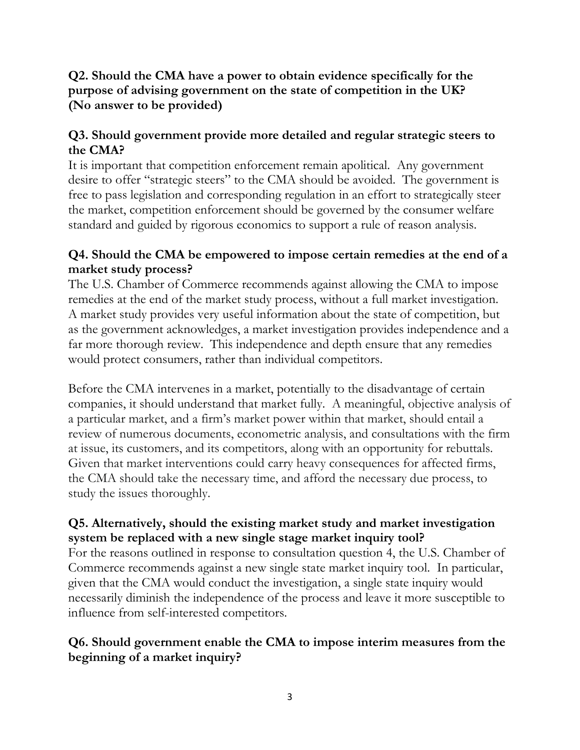# **Q2. Should the CMA have a power to obtain evidence specifically for the purpose of advising government on the state of competition in the UK? (No answer to be provided)**

# **Q3. Should government provide more detailed and regular strategic steers to the CMA?**

It is important that competition enforcement remain apolitical. Any government desire to offer "strategic steers" to the CMA should be avoided. The government is free to pass legislation and corresponding regulation in an effort to strategically steer the market, competition enforcement should be governed by the consumer welfare standard and guided by rigorous economics to support a rule of reason analysis.

# **Q4. Should the CMA be empowered to impose certain remedies at the end of a market study process?**

The U.S. Chamber of Commerce recommends against allowing the CMA to impose remedies at the end of the market study process, without a full market investigation. A market study provides very useful information about the state of competition, but as the government acknowledges, a market investigation provides independence and a far more thorough review. This independence and depth ensure that any remedies would protect consumers, rather than individual competitors.

Before the CMA intervenes in a market, potentially to the disadvantage of certain companies, it should understand that market fully. A meaningful, objective analysis of a particular market, and a firm's market power within that market, should entail a review of numerous documents, econometric analysis, and consultations with the firm at issue, its customers, and its competitors, along with an opportunity for rebuttals. Given that market interventions could carry heavy consequences for affected firms, the CMA should take the necessary time, and afford the necessary due process, to study the issues thoroughly.

# **Q5. Alternatively, should the existing market study and market investigation system be replaced with a new single stage market inquiry tool?**

For the reasons outlined in response to consultation question 4, the U.S. Chamber of Commerce recommends against a new single state market inquiry tool. In particular, given that the CMA would conduct the investigation, a single state inquiry would necessarily diminish the independence of the process and leave it more susceptible to influence from self-interested competitors.

# **Q6. Should government enable the CMA to impose interim measures from the beginning of a market inquiry?**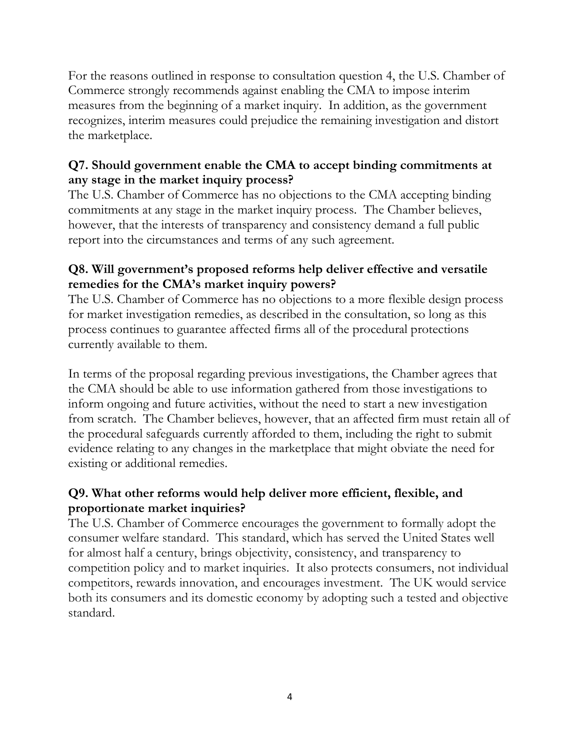For the reasons outlined in response to consultation question 4, the U.S. Chamber of Commerce strongly recommends against enabling the CMA to impose interim measures from the beginning of a market inquiry. In addition, as the government recognizes, interim measures could prejudice the remaining investigation and distort the marketplace.

# **Q7. Should government enable the CMA to accept binding commitments at any stage in the market inquiry process?**

The U.S. Chamber of Commerce has no objections to the CMA accepting binding commitments at any stage in the market inquiry process. The Chamber believes, however, that the interests of transparency and consistency demand a full public report into the circumstances and terms of any such agreement.

# **Q8. Will government's proposed reforms help deliver effective and versatile remedies for the CMA's market inquiry powers?**

The U.S. Chamber of Commerce has no objections to a more flexible design process for market investigation remedies, as described in the consultation, so long as this process continues to guarantee affected firms all of the procedural protections currently available to them.

In terms of the proposal regarding previous investigations, the Chamber agrees that the CMA should be able to use information gathered from those investigations to inform ongoing and future activities, without the need to start a new investigation from scratch. The Chamber believes, however, that an affected firm must retain all of the procedural safeguards currently afforded to them, including the right to submit evidence relating to any changes in the marketplace that might obviate the need for existing or additional remedies.

# **Q9. What other reforms would help deliver more efficient, flexible, and proportionate market inquiries?**

The U.S. Chamber of Commerce encourages the government to formally adopt the consumer welfare standard. This standard, which has served the United States well for almost half a century, brings objectivity, consistency, and transparency to competition policy and to market inquiries. It also protects consumers, not individual competitors, rewards innovation, and encourages investment. The UK would service both its consumers and its domestic economy by adopting such a tested and objective standard.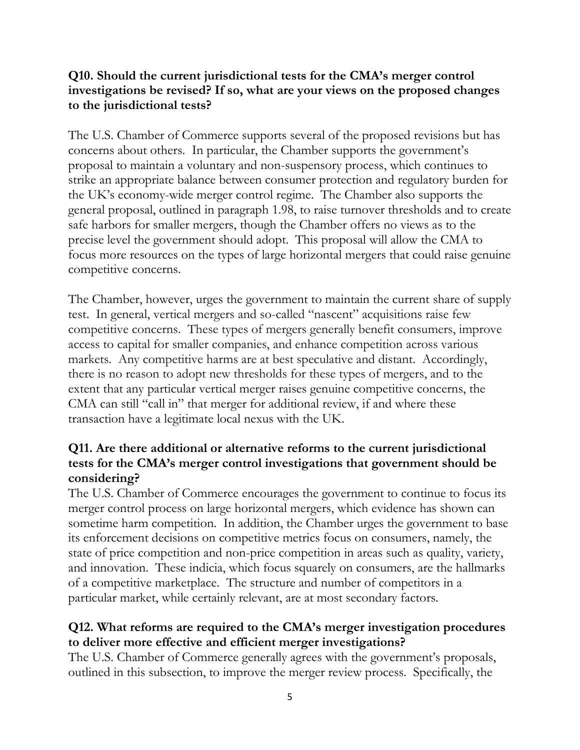### **Q10. Should the current jurisdictional tests for the CMA's merger control investigations be revised? If so, what are your views on the proposed changes to the jurisdictional tests?**

The U.S. Chamber of Commerce supports several of the proposed revisions but has concerns about others. In particular, the Chamber supports the government's proposal to maintain a voluntary and non-suspensory process, which continues to strike an appropriate balance between consumer protection and regulatory burden for the UK's economy-wide merger control regime. The Chamber also supports the general proposal, outlined in paragraph 1.98, to raise turnover thresholds and to create safe harbors for smaller mergers, though the Chamber offers no views as to the precise level the government should adopt. This proposal will allow the CMA to focus more resources on the types of large horizontal mergers that could raise genuine competitive concerns.

The Chamber, however, urges the government to maintain the current share of supply test. In general, vertical mergers and so-called "nascent" acquisitions raise few competitive concerns. These types of mergers generally benefit consumers, improve access to capital for smaller companies, and enhance competition across various markets. Any competitive harms are at best speculative and distant. Accordingly, there is no reason to adopt new thresholds for these types of mergers, and to the extent that any particular vertical merger raises genuine competitive concerns, the CMA can still "call in" that merger for additional review, if and where these transaction have a legitimate local nexus with the UK.

# **Q11. Are there additional or alternative reforms to the current jurisdictional tests for the CMA's merger control investigations that government should be considering?**

The U.S. Chamber of Commerce encourages the government to continue to focus its merger control process on large horizontal mergers, which evidence has shown can sometime harm competition. In addition, the Chamber urges the government to base its enforcement decisions on competitive metrics focus on consumers, namely, the state of price competition and non-price competition in areas such as quality, variety, and innovation. These indicia, which focus squarely on consumers, are the hallmarks of a competitive marketplace. The structure and number of competitors in a particular market, while certainly relevant, are at most secondary factors.

# **Q12. What reforms are required to the CMA's merger investigation procedures to deliver more effective and efficient merger investigations?**

The U.S. Chamber of Commerce generally agrees with the government's proposals, outlined in this subsection, to improve the merger review process. Specifically, the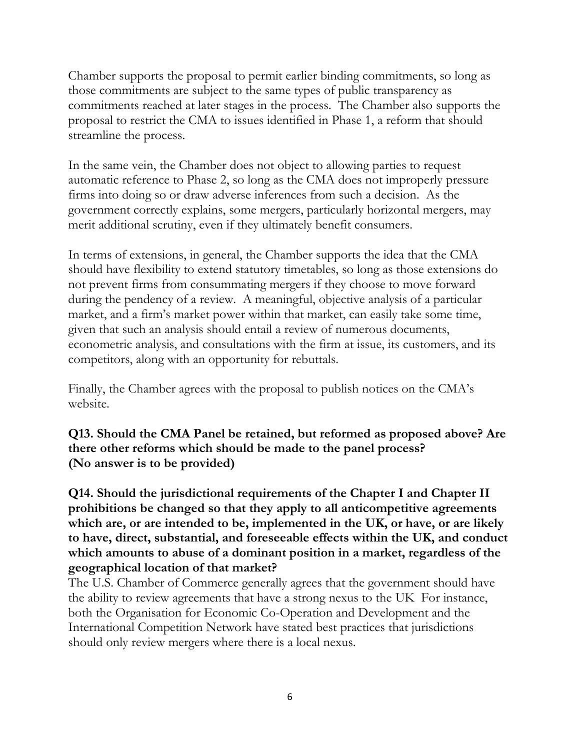Chamber supports the proposal to permit earlier binding commitments, so long as those commitments are subject to the same types of public transparency as commitments reached at later stages in the process. The Chamber also supports the proposal to restrict the CMA to issues identified in Phase 1, a reform that should streamline the process.

In the same vein, the Chamber does not object to allowing parties to request automatic reference to Phase 2, so long as the CMA does not improperly pressure firms into doing so or draw adverse inferences from such a decision. As the government correctly explains, some mergers, particularly horizontal mergers, may merit additional scrutiny, even if they ultimately benefit consumers.

In terms of extensions, in general, the Chamber supports the idea that the CMA should have flexibility to extend statutory timetables, so long as those extensions do not prevent firms from consummating mergers if they choose to move forward during the pendency of a review. A meaningful, objective analysis of a particular market, and a firm's market power within that market, can easily take some time, given that such an analysis should entail a review of numerous documents, econometric analysis, and consultations with the firm at issue, its customers, and its competitors, along with an opportunity for rebuttals.

Finally, the Chamber agrees with the proposal to publish notices on the CMA's website.

**Q13. Should the CMA Panel be retained, but reformed as proposed above? Are there other reforms which should be made to the panel process? (No answer is to be provided)**

**Q14. Should the jurisdictional requirements of the Chapter I and Chapter II prohibitions be changed so that they apply to all anticompetitive agreements which are, or are intended to be, implemented in the UK, or have, or are likely to have, direct, substantial, and foreseeable effects within the UK, and conduct which amounts to abuse of a dominant position in a market, regardless of the geographical location of that market?** 

The U.S. Chamber of Commerce generally agrees that the government should have the ability to review agreements that have a strong nexus to the UK For instance, both the Organisation for Economic Co-Operation and Development and the International Competition Network have stated best practices that jurisdictions should only review mergers where there is a local nexus.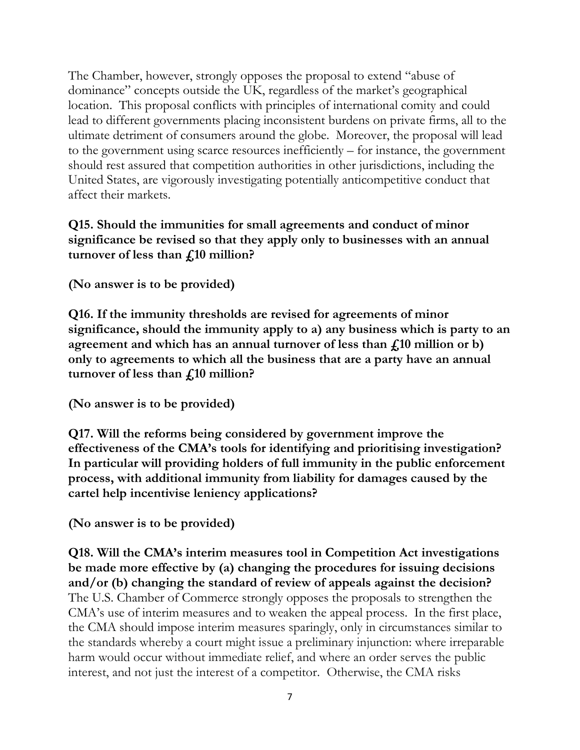The Chamber, however, strongly opposes the proposal to extend "abuse of dominance" concepts outside the UK, regardless of the market's geographical location. This proposal conflicts with principles of international comity and could lead to different governments placing inconsistent burdens on private firms, all to the ultimate detriment of consumers around the globe. Moreover, the proposal will lead to the government using scarce resources inefficiently – for instance, the government should rest assured that competition authorities in other jurisdictions, including the United States, are vigorously investigating potentially anticompetitive conduct that affect their markets.

## **Q15. Should the immunities for small agreements and conduct of minor significance be revised so that they apply only to businesses with an annual turnover of less than £10 million?**

**(No answer is to be provided)**

**Q16. If the immunity thresholds are revised for agreements of minor significance, should the immunity apply to a) any business which is party to an agreement and which has an annual turnover of less than £10 million or b) only to agreements to which all the business that are a party have an annual turnover of less than £10 million?** 

**(No answer is to be provided)**

**Q17. Will the reforms being considered by government improve the effectiveness of the CMA's tools for identifying and prioritising investigation? In particular will providing holders of full immunity in the public enforcement process, with additional immunity from liability for damages caused by the cartel help incentivise leniency applications?** 

**(No answer is to be provided)**

**Q18. Will the CMA's interim measures tool in Competition Act investigations be made more effective by (a) changing the procedures for issuing decisions and/or (b) changing the standard of review of appeals against the decision?**  The U.S. Chamber of Commerce strongly opposes the proposals to strengthen the CMA's use of interim measures and to weaken the appeal process. In the first place, the CMA should impose interim measures sparingly, only in circumstances similar to the standards whereby a court might issue a preliminary injunction: where irreparable harm would occur without immediate relief, and where an order serves the public interest, and not just the interest of a competitor. Otherwise, the CMA risks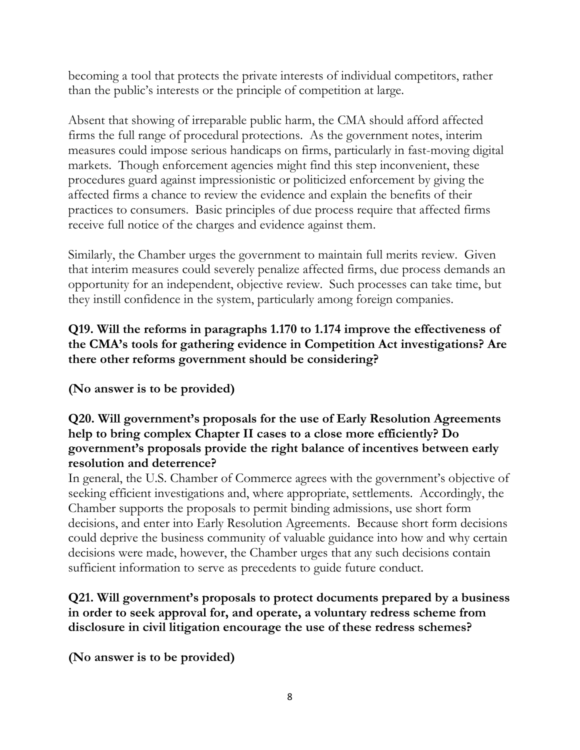becoming a tool that protects the private interests of individual competitors, rather than the public's interests or the principle of competition at large.

Absent that showing of irreparable public harm, the CMA should afford affected firms the full range of procedural protections. As the government notes, interim measures could impose serious handicaps on firms, particularly in fast-moving digital markets. Though enforcement agencies might find this step inconvenient, these procedures guard against impressionistic or politicized enforcement by giving the affected firms a chance to review the evidence and explain the benefits of their practices to consumers. Basic principles of due process require that affected firms receive full notice of the charges and evidence against them.

Similarly, the Chamber urges the government to maintain full merits review. Given that interim measures could severely penalize affected firms, due process demands an opportunity for an independent, objective review. Such processes can take time, but they instill confidence in the system, particularly among foreign companies.

# **Q19. Will the reforms in paragraphs 1.170 to 1.174 improve the effectiveness of the CMA's tools for gathering evidence in Competition Act investigations? Are there other reforms government should be considering?**

**(No answer is to be provided)**

### **Q20. Will government's proposals for the use of Early Resolution Agreements help to bring complex Chapter II cases to a close more efficiently? Do government's proposals provide the right balance of incentives between early resolution and deterrence?**

In general, the U.S. Chamber of Commerce agrees with the government's objective of seeking efficient investigations and, where appropriate, settlements. Accordingly, the Chamber supports the proposals to permit binding admissions, use short form decisions, and enter into Early Resolution Agreements. Because short form decisions could deprive the business community of valuable guidance into how and why certain decisions were made, however, the Chamber urges that any such decisions contain sufficient information to serve as precedents to guide future conduct.

## **Q21. Will government's proposals to protect documents prepared by a business in order to seek approval for, and operate, a voluntary redress scheme from disclosure in civil litigation encourage the use of these redress schemes?**

**(No answer is to be provided)**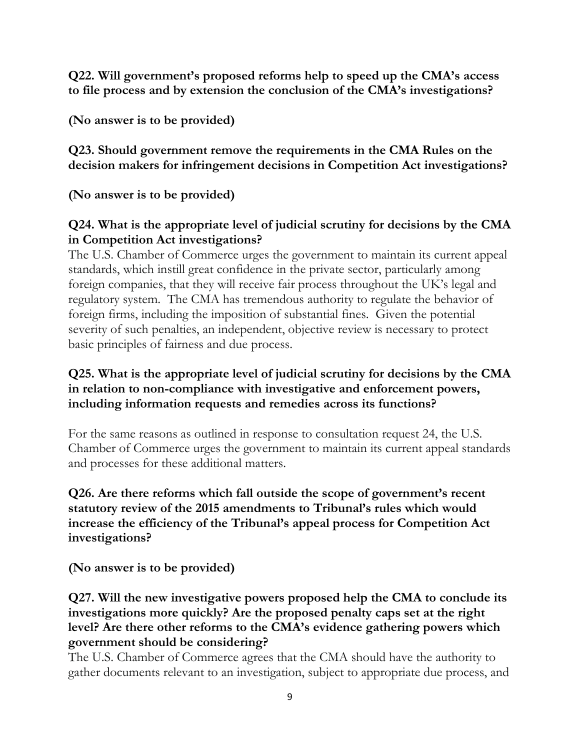**Q22. Will government's proposed reforms help to speed up the CMA's access to file process and by extension the conclusion of the CMA's investigations?** 

**(No answer is to be provided)**

**Q23. Should government remove the requirements in the CMA Rules on the decision makers for infringement decisions in Competition Act investigations?**

**(No answer is to be provided)**

# **Q24. What is the appropriate level of judicial scrutiny for decisions by the CMA in Competition Act investigations?**

The U.S. Chamber of Commerce urges the government to maintain its current appeal standards, which instill great confidence in the private sector, particularly among foreign companies, that they will receive fair process throughout the UK's legal and regulatory system. The CMA has tremendous authority to regulate the behavior of foreign firms, including the imposition of substantial fines. Given the potential severity of such penalties, an independent, objective review is necessary to protect basic principles of fairness and due process.

## **Q25. What is the appropriate level of judicial scrutiny for decisions by the CMA in relation to non-compliance with investigative and enforcement powers, including information requests and remedies across its functions?**

For the same reasons as outlined in response to consultation request 24, the U.S. Chamber of Commerce urges the government to maintain its current appeal standards and processes for these additional matters.

### **Q26. Are there reforms which fall outside the scope of government's recent statutory review of the 2015 amendments to Tribunal's rules which would increase the efficiency of the Tribunal's appeal process for Competition Act investigations?**

**(No answer is to be provided)**

# **Q27. Will the new investigative powers proposed help the CMA to conclude its investigations more quickly? Are the proposed penalty caps set at the right level? Are there other reforms to the CMA's evidence gathering powers which government should be considering?**

The U.S. Chamber of Commerce agrees that the CMA should have the authority to gather documents relevant to an investigation, subject to appropriate due process, and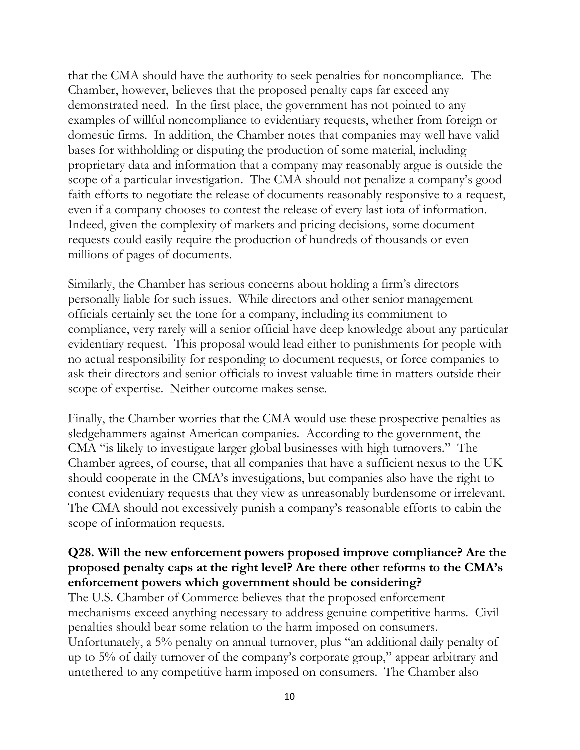that the CMA should have the authority to seek penalties for noncompliance. The Chamber, however, believes that the proposed penalty caps far exceed any demonstrated need. In the first place, the government has not pointed to any examples of willful noncompliance to evidentiary requests, whether from foreign or domestic firms. In addition, the Chamber notes that companies may well have valid bases for withholding or disputing the production of some material, including proprietary data and information that a company may reasonably argue is outside the scope of a particular investigation. The CMA should not penalize a company's good faith efforts to negotiate the release of documents reasonably responsive to a request, even if a company chooses to contest the release of every last iota of information. Indeed, given the complexity of markets and pricing decisions, some document requests could easily require the production of hundreds of thousands or even millions of pages of documents.

Similarly, the Chamber has serious concerns about holding a firm's directors personally liable for such issues. While directors and other senior management officials certainly set the tone for a company, including its commitment to compliance, very rarely will a senior official have deep knowledge about any particular evidentiary request. This proposal would lead either to punishments for people with no actual responsibility for responding to document requests, or force companies to ask their directors and senior officials to invest valuable time in matters outside their scope of expertise. Neither outcome makes sense.

Finally, the Chamber worries that the CMA would use these prospective penalties as sledgehammers against American companies. According to the government, the CMA "is likely to investigate larger global businesses with high turnovers." The Chamber agrees, of course, that all companies that have a sufficient nexus to the UK should cooperate in the CMA's investigations, but companies also have the right to contest evidentiary requests that they view as unreasonably burdensome or irrelevant. The CMA should not excessively punish a company's reasonable efforts to cabin the scope of information requests.

## **Q28. Will the new enforcement powers proposed improve compliance? Are the proposed penalty caps at the right level? Are there other reforms to the CMA's enforcement powers which government should be considering?**

The U.S. Chamber of Commerce believes that the proposed enforcement mechanisms exceed anything necessary to address genuine competitive harms. Civil penalties should bear some relation to the harm imposed on consumers. Unfortunately, a 5% penalty on annual turnover, plus "an additional daily penalty of up to 5% of daily turnover of the company's corporate group," appear arbitrary and untethered to any competitive harm imposed on consumers. The Chamber also